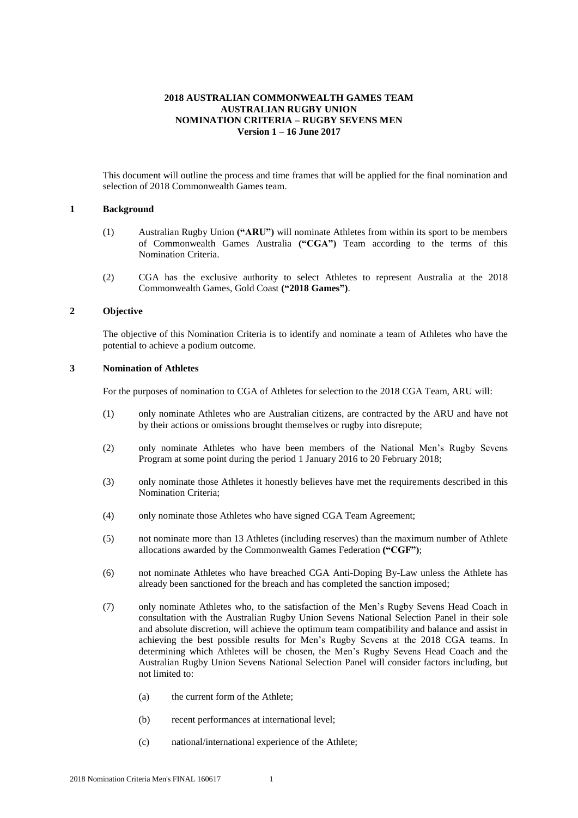# **2018 AUSTRALIAN COMMONWEALTH GAMES TEAM AUSTRALIAN RUGBY UNION NOMINATION CRITERIA – RUGBY SEVENS MEN Version 1 – 16 June 2017**

This document will outline the process and time frames that will be applied for the final nomination and selection of 2018 Commonwealth Games team.

#### **1 Background**

- (1) Australian Rugby Union **("ARU")** will nominate Athletes from within its sport to be members of Commonwealth Games Australia **("CGA")** Team according to the terms of this Nomination Criteria.
- (2) CGA has the exclusive authority to select Athletes to represent Australia at the 2018 Commonwealth Games, Gold Coast **("2018 Games")**.

## **2 Objective**

The objective of this Nomination Criteria is to identify and nominate a team of Athletes who have the potential to achieve a podium outcome.

## **3 Nomination of Athletes**

For the purposes of nomination to CGA of Athletes for selection to the 2018 CGA Team, ARU will:

- (1) only nominate Athletes who are Australian citizens, are contracted by the ARU and have not by their actions or omissions brought themselves or rugby into disrepute;
- (2) only nominate Athletes who have been members of the National Men's Rugby Sevens Program at some point during the period 1 January 2016 to 20 February 2018;
- (3) only nominate those Athletes it honestly believes have met the requirements described in this Nomination Criteria;
- (4) only nominate those Athletes who have signed CGA Team Agreement;
- (5) not nominate more than 13 Athletes (including reserves) than the maximum number of Athlete allocations awarded by the Commonwealth Games Federation **("CGF")**;
- (6) not nominate Athletes who have breached CGA Anti-Doping By-Law unless the Athlete has already been sanctioned for the breach and has completed the sanction imposed;
- (7) only nominate Athletes who, to the satisfaction of the Men's Rugby Sevens Head Coach in consultation with the Australian Rugby Union Sevens National Selection Panel in their sole and absolute discretion, will achieve the optimum team compatibility and balance and assist in achieving the best possible results for Men's Rugby Sevens at the 2018 CGA teams. In determining which Athletes will be chosen, the Men's Rugby Sevens Head Coach and the Australian Rugby Union Sevens National Selection Panel will consider factors including, but not limited to:
	- (a) the current form of the Athlete;
	- (b) recent performances at international level;
	- (c) national/international experience of the Athlete;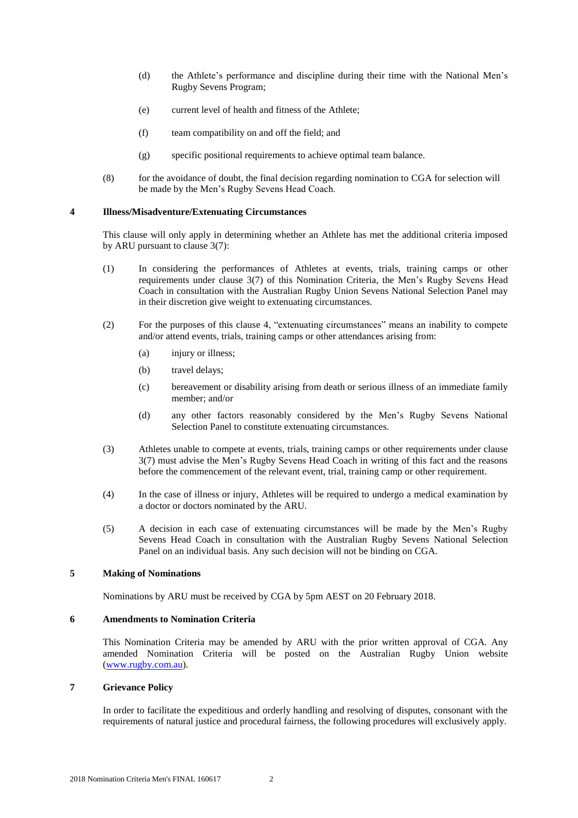- (d) the Athlete's performance and discipline during their time with the National Men's Rugby Sevens Program;
- (e) current level of health and fitness of the Athlete;
- (f) team compatibility on and off the field; and
- (g) specific positional requirements to achieve optimal team balance.
- (8) for the avoidance of doubt, the final decision regarding nomination to CGA for selection will be made by the Men's Rugby Sevens Head Coach.

## **4 Illness/Misadventure/Extenuating Circumstances**

This clause will only apply in determining whether an Athlete has met the additional criteria imposed by ARU pursuant to clause 3(7):

- (1) In considering the performances of Athletes at events, trials, training camps or other requirements under clause 3(7) of this Nomination Criteria, the Men's Rugby Sevens Head Coach in consultation with the Australian Rugby Union Sevens National Selection Panel may in their discretion give weight to extenuating circumstances.
- (2) For the purposes of this clause 4, "extenuating circumstances" means an inability to compete and/or attend events, trials, training camps or other attendances arising from:
	- (a) injury or illness;
	- (b) travel delays;
	- (c) bereavement or disability arising from death or serious illness of an immediate family member; and/or
	- (d) any other factors reasonably considered by the Men's Rugby Sevens National Selection Panel to constitute extenuating circumstances.
- (3) Athletes unable to compete at events, trials, training camps or other requirements under clause 3(7) must advise the Men's Rugby Sevens Head Coach in writing of this fact and the reasons before the commencement of the relevant event, trial, training camp or other requirement.
- (4) In the case of illness or injury, Athletes will be required to undergo a medical examination by a doctor or doctors nominated by the ARU.
- (5) A decision in each case of extenuating circumstances will be made by the Men's Rugby Sevens Head Coach in consultation with the Australian Rugby Sevens National Selection Panel on an individual basis. Any such decision will not be binding on CGA.

## **5 Making of Nominations**

Nominations by ARU must be received by CGA by 5pm AEST on 20 February 2018.

#### **6 Amendments to Nomination Criteria**

This Nomination Criteria may be amended by ARU with the prior written approval of CGA. Any amended Nomination Criteria will be posted on the Australian Rugby Union website [\(www.rugby.com.au\)](http://www.badminton.org.au/).

## **7 Grievance Policy**

In order to facilitate the expeditious and orderly handling and resolving of disputes, consonant with the requirements of natural justice and procedural fairness, the following procedures will exclusively apply.